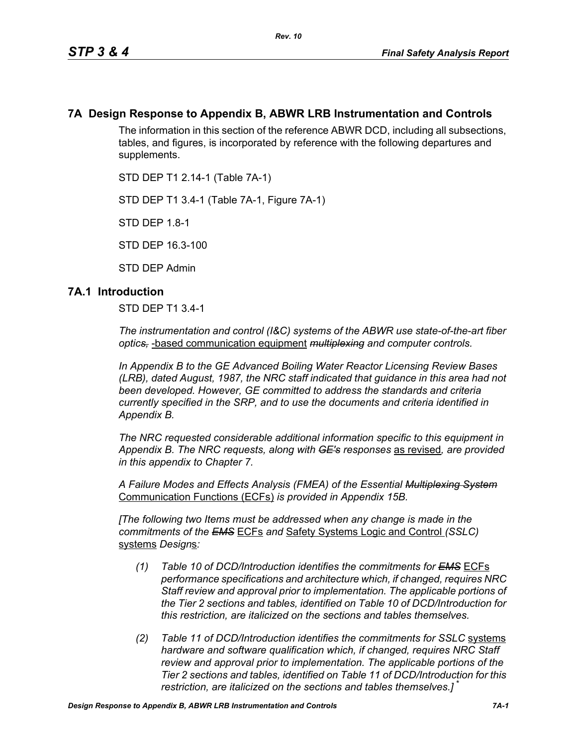## **7A Design Response to Appendix B, ABWR LRB Instrumentation and Controls**

The information in this section of the reference ABWR DCD, including all subsections, tables, and figures, is incorporated by reference with the following departures and supplements.

STD DEP T1 2.14-1 (Table 7A-1)

STD DEP T1 3.4-1 (Table 7A-1, Figure 7A-1)

STD DEP 1.8-1

STD DEP 16.3-100

STD DEP Admin

### **7A.1 Introduction**

STD DEP T1 3.4-1

*The instrumentation and control (I&C) systems of the ABWR use state-of-the-art fiber optics,* -based communication equipment *multiplexing and computer controls.* 

*In Appendix B to the GE Advanced Boiling Water Reactor Licensing Review Bases (LRB), dated August, 1987, the NRC staff indicated that guidance in this area had not been developed. However, GE committed to address the standards and criteria currently specified in the SRP, and to use the documents and criteria identified in Appendix B.*

*The NRC requested considerable additional information specific to this equipment in Appendix B. The NRC requests, along with GE's responses* as revised*, are provided in this appendix to Chapter 7.*

*A Failure Modes and Effects Analysis (FMEA) of the Essential Multiplexing System* Communication Functions (ECFs) *is provided in Appendix 15B.*

*[The following two Items must be addressed when any change is made in the commitments of the EMS* ECFs *and* Safety Systems Logic and Control *(SSLC)* systems *Design*s*:*

- *(1) Table 10 of DCD/Introduction identifies the commitments for EMS* ECFs *performance specifications and architecture which, if changed, requires NRC Staff review and approval prior to implementation. The applicable portions of the Tier 2 sections and tables, identified on Table 10 of DCD/Introduction for this restriction, are italicized on the sections and tables themselves.*
- *(2) Table 11 of DCD/Introduction identifies the commitments for SSLC* systems *hardware and software qualification which, if changed, requires NRC Staff review and approval prior to implementation. The applicable portions of the Tier 2 sections and tables, identified on Table 11 of DCD/Introduction for this restriction, are italicized on the sections and tables themselves.]* \*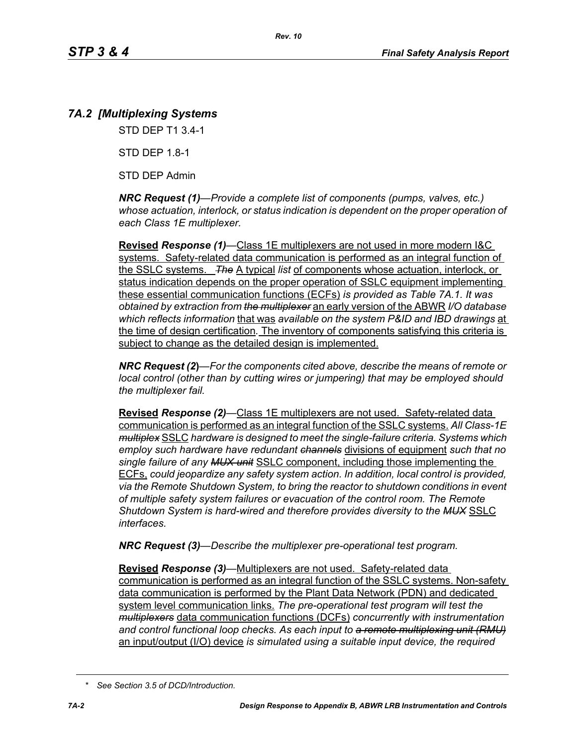# *7A.2 [Multiplexing Systems*

STD DEP T1 3.4-1

STD DEP 1.8-1

STD DEP Admin

*NRC Request (1)—Provide a complete list of components (pumps, valves, etc.) whose actuation, interlock, or status indication is dependent on the proper operation of each Class 1E multiplexer.*

**Revised** *Response (1)—*Class 1E multiplexers are not used in more modern I&C systems. Safety-related data communication is performed as an integral function of the SSLC systems. *The* A typical *list* of components whose actuation, interlock, or status indication depends on the proper operation of SSLC equipment implementing these essential communication functions (ECFs) *is provided as Table 7A.1. It was obtained by extraction from the multiplexer* an early version of the ABWR *I/O database which reflects information* that was *available on the system P&ID and IBD drawings* at the time of design certification*.* The inventory of components satisfying this criteria is subject to change as the detailed design is implemented.

*NRC Request (2***)***—For the components cited above, describe the means of remote or local control (other than by cutting wires or jumpering) that may be employed should the multiplexer fail.*

**Revised** *Response (2)—*Class 1E multiplexers are not used. Safety-related data communication is performed as an integral function of the SSLC systems. *All Class-1E multiplex* SSLC *hardware is designed to meet the single-failure criteria. Systems which employ such hardware have redundant channels* divisions of equipment *such that no single failure of any MUX unit* SSLC component, including those implementing the ECFs, *could jeopardize any safety system action. In addition, local control is provided, via the Remote Shutdown System, to bring the reactor to shutdown conditions in event of multiple safety system failures or evacuation of the control room. The Remote Shutdown System is hard-wired and therefore provides diversity to the MUX* SSLC *interfaces.*

*NRC Request (3)—Describe the multiplexer pre-operational test program.*

**Revised** *Response (3)—*Multiplexers are not used. Safety-related data communication is performed as an integral function of the SSLC systems. Non-safety data communication is performed by the Plant Data Network (PDN) and dedicated system level communication links. *The pre-operational test program will test the multiplexers* data communication functions (DCFs) *concurrently with instrumentation and control functional loop checks. As each input to a remote multiplexing unit (RMU)* an input/output (I/O) device *is simulated using a suitable input device, the required* 

*<sup>\*</sup> See Section 3.5 of DCD/Introduction.*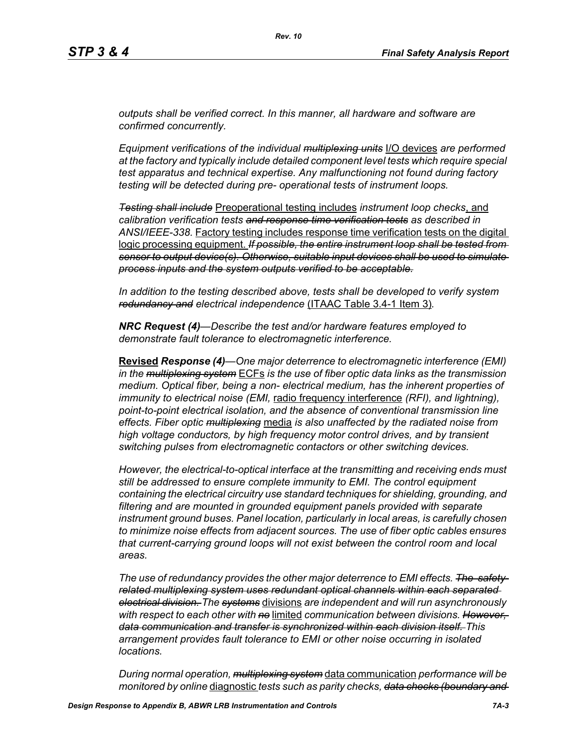*outputs shall be verified correct. In this manner, all hardware and software are confirmed concurrently.*

*Equipment verifications of the individual multiplexing units* I/O devices *are performed at the factory and typically include detailed component level tests which require special test apparatus and technical expertise. Any malfunctioning not found during factory testing will be detected during pre- operational tests of instrument loops.*

*Testing shall include* Preoperational testing includes *instrument loop checks*, and *calibration verification tests and response time verification tests as described in ANSI/IEEE-338.* Factory testing includes response time verification tests on the digital logic processing equipment. *If possible, the entire instrument loop shall be tested from sensor to output device(s). Otherwise, suitable input devices shall be used to simulate process inputs and the system outputs verified to be acceptable.*

*In addition to the testing described above, tests shall be developed to verify system redundancy and electrical independence* (ITAAC Table 3.4-1 Item 3)*.*

*NRC Request (4)—Describe the test and/or hardware features employed to demonstrate fault tolerance to electromagnetic interference.*

**Revised** *Response (4)—One major deterrence to electromagnetic interference (EMI) in the multiplexing system* ECFs *is the use of fiber optic data links as the transmission medium. Optical fiber, being a non- electrical medium, has the inherent properties of immunity to electrical noise (EMI,* radio frequency interference *(RFI), and lightning), point-to-point electrical isolation, and the absence of conventional transmission line effects. Fiber optic multiplexing* media *is also unaffected by the radiated noise from high voltage conductors, by high frequency motor control drives, and by transient switching pulses from electromagnetic contactors or other switching devices.* 

*However, the electrical-to-optical interface at the transmitting and receiving ends must still be addressed to ensure complete immunity to EMI. The control equipment containing the electrical circuitry use standard techniques for shielding, grounding, and filtering and are mounted in grounded equipment panels provided with separate instrument ground buses. Panel location, particularly in local areas, is carefully chosen to minimize noise effects from adjacent sources. The use of fiber optic cables ensures that current-carrying ground loops will not exist between the control room and local areas.* 

*The use of redundancy provides the other major deterrence to EMI effects. The safetyrelated multiplexing system uses redundant optical channels within each separated electrical division. The systems* divisions *are independent and will run asynchronously with respect to each other with no* limited *communication between divisions. However, data communication and transfer is synchronized within each division itself. This arrangement provides fault tolerance to EMI or other noise occurring in isolated locations.* 

*During normal operation, multiplexing system* data communication *performance will be monitored by online* diagnostic *tests such as parity checks, data checks (boundary and*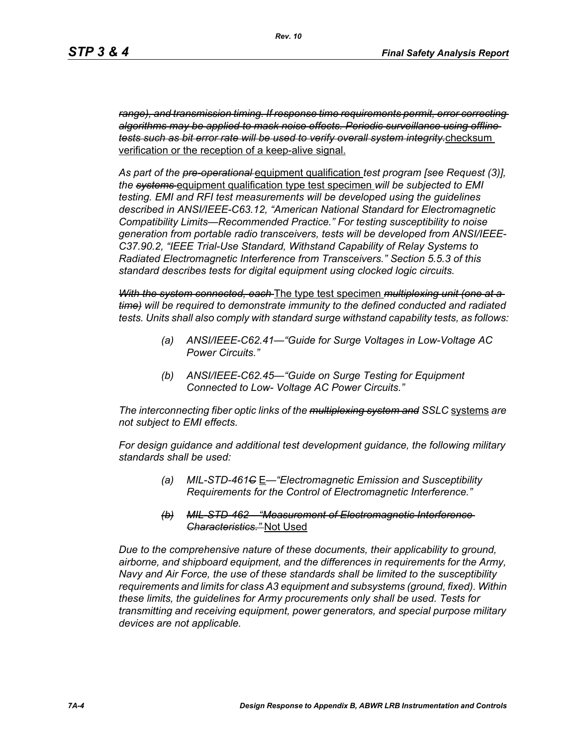*range), and transmission timing. If response time requirements permit, error correcting algorithms may be applied to mask noise effects. Periodic surveillance using offline tests such as bit error rate will be used to verify overall system integrity.*checksum verification or the reception of a keep-alive signal.

*As part of the pre-operational* equipment qualification *test program [see Request (3)], the systems* equipment qualification type test specimen *will be subjected to EMI testing. EMI and RFI test measurements will be developed using the guidelines described in ANSI/IEEE-C63.12, "American National Standard for Electromagnetic Compatibility Limits—Recommended Practice." For testing susceptibility to noise generation from portable radio transceivers, tests will be developed from ANSI/IEEE-C37.90.2, "IEEE Trial-Use Standard, Withstand Capability of Relay Systems to Radiated Electromagnetic Interference from Transceivers." Section 5.5.3 of this standard describes tests for digital equipment using clocked logic circuits.*

*With the system connected, each* The type test specimen *multiplexing unit (one at a time) will be required to demonstrate immunity to the defined conducted and radiated tests. Units shall also comply with standard surge withstand capability tests, as follows:*

- *(a) ANSI/IEEE-C62.41—"Guide for Surge Voltages in Low-Voltage AC Power Circuits."*
- *(b) ANSI/IEEE-C62.45—"Guide on Surge Testing for Equipment Connected to Low- Voltage AC Power Circuits."*

*The interconnecting fiber optic links of the multiplexing system and SSLC* systems *are not subject to EMI effects.*

*For design guidance and additional test development guidance, the following military standards shall be used:*

- *(a) MIL-STD-461C* E*—"Electromagnetic Emission and Susceptibility Requirements for the Control of Electromagnetic Interference."*
- *(b) MIL-STD-462—"Measurement of Electromagnetic Interference Characteristics."* Not Used

*Due to the comprehensive nature of these documents, their applicability to ground, airborne, and shipboard equipment, and the differences in requirements for the Army, Navy and Air Force, the use of these standards shall be limited to the susceptibility requirements and limits for class A3 equipment and subsystems (ground, fixed). Within these limits, the guidelines for Army procurements only shall be used. Tests for transmitting and receiving equipment, power generators, and special purpose military devices are not applicable.*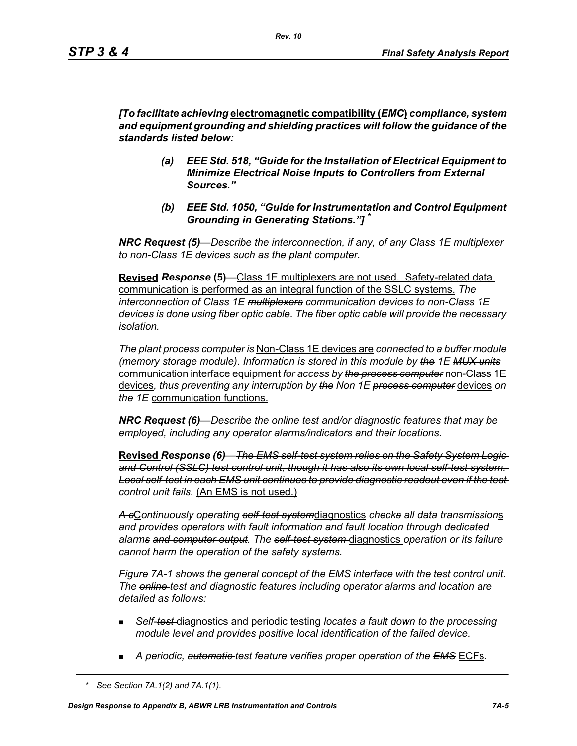*[To facilitate achieving* **electromagnetic compatibility (***EMC***)** *compliance, system and equipment grounding and shielding practices will follow the guidance of the standards listed below:*

- *(a) EEE Std. 518, "Guide for the Installation of Electrical Equipment to Minimize Electrical Noise Inputs to Controllers from External Sources."*
- *(b) EEE Std. 1050, "Guide for Instrumentation and Control Equipment Grounding in Generating Stations."] \**

*NRC Request (5)*—*Describe the interconnection, if any, of any Class 1E multiplexer to non-Class 1E devices such as the plant computer.* 

**Revised** *Response* **(5)***—*Class 1E multiplexers are not used. Safety-related data communication is performed as an integral function of the SSLC systems. *The interconnection of Class 1E multiplexers communication devices to non-Class 1E devices is done using fiber optic cable. The fiber optic cable will provide the necessary isolation.* 

*The plant process computer is* Non-Class 1E devices are *connected to a buffer module (memory storage module). Information is stored in this module by the 1E MUX units* communication interface equipment *for access by the process computer* non-Class 1E devices*, thus preventing any interruption by the Non 1E process computer* devices *on the 1E* communication functions.

*NRC Request (6)—Describe the online test and/or diagnostic features that may be employed, including any operator alarms/indicators and their locations.* 

**Revised** *Response (6)—The EMS self-test system relies on the Safety System Logic and Control (SSLC) test control unit, though it has also its own local self-test system. Local self-test in each EMS unit continues to provide diagnostic readout even if the test control unit fails.* (An EMS is not used.)

*A c*C*ontinuously operating self-test system*diagnostics *checks all data transmission*s *and provides operators with fault information and fault location through dedicated alarms and computer output. The self-test system* diagnostics *operation or its failure cannot harm the operation of the safety systems.*

*Figure 7A-1 shows the general concept of the EMS interface with the test control unit. The online test and diagnostic features including operator alarms and location are detailed as follows:*

- *Self-test* diagnostics and periodic testing *locates a fault down to the processing module level and provides positive local identification of the failed device.*
- *A periodic, automatic test feature verifies proper operation of the EMS* ECFs*.*

*<sup>\*</sup> See Section 7A.1(2) and 7A.1(1).*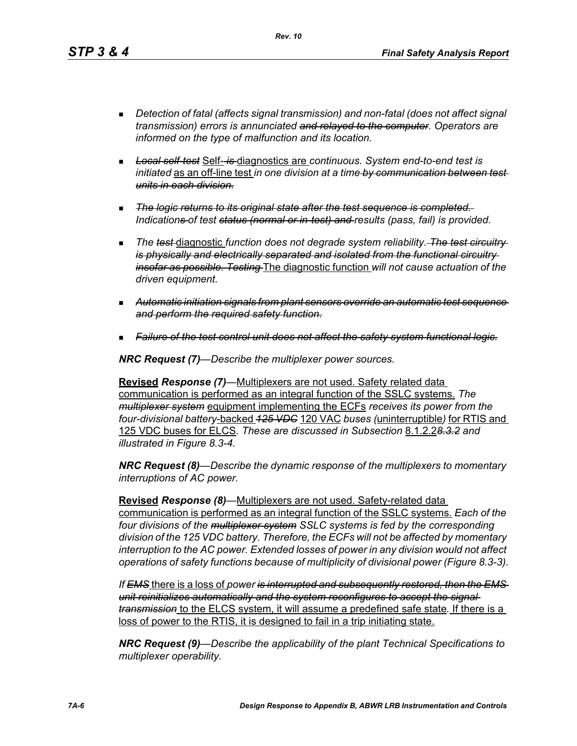*Rev. 10*

- *Detection of fatal (affects signal transmission) and non-fatal (does not affect signal transmission) errors is annunciated and relayed to the computer. Operators are informed on the type of malfunction and its location.*
- *Local self-test* Self- *is* diagnostics are *continuous. System end-to-end test is initiated* as an off-line test *in one division at a time by communication between test units in each division.*
- *The logic returns to its original state after the test sequence is completed. Indications of test status (normal or in-test) and results (pass, fail) is provided.*
- **The test diagnostic function does not degrade system reliability.** The test circuitry*is physically and electrically separated and isolated from the functional circuitry insofar as possible. Testing* The diagnostic function *will not cause actuation of the driven equipment.*
- *Automatic initiation signals from plant sensors override an automatic test sequence and perform the required safety function.*
- *Failure of the test control unit does not affect the safety system functional logic.*

*NRC Request (7)—Describe the multiplexer power sources.*

**Revised** *Response (7)—*Multiplexers are not used. Safety related data communication is performed as an integral function of the SSLC systems. *The multiplexer system* equipment implementing the ECFs *receives its power from the four-divisional battery*-backed *125 VDC* 120 VAC *buses (*uninterruptible*)* for RTIS and 125 VDC buses for ELCS*. These are discussed in Subsection* 8.1.2.2*8.3.2 and illustrated in Figure 8.3-4.*

*NRC Request (8)—Describe the dynamic response of the multiplexers to momentary interruptions of AC power.*

**Revised** *Response (8)—*Multiplexers are not used. Safety-related data communication is performed as an integral function of the SSLC systems. *Each of the four divisions of the multiplexer system SSLC systems is fed by the corresponding division of the 125 VDC battery. Therefore, the ECFs will not be affected by momentary interruption to the AC power. Extended losses of power in any division would not affect operations of safety functions because of multiplicity of divisional power (Figure 8.3-3).*

*If EMS* there is a loss of *power is interrupted and subsequently restored, then the EMS unit reinitializes automatically and the system reconfigures to accept the signal transmission* to the ELCS system, it will assume a predefined safe state*.* If there is a loss of power to the RTIS, it is designed to fail in a trip initiating state.

*NRC Request (9)—Describe the applicability of the plant Technical Specifications to multiplexer operability.*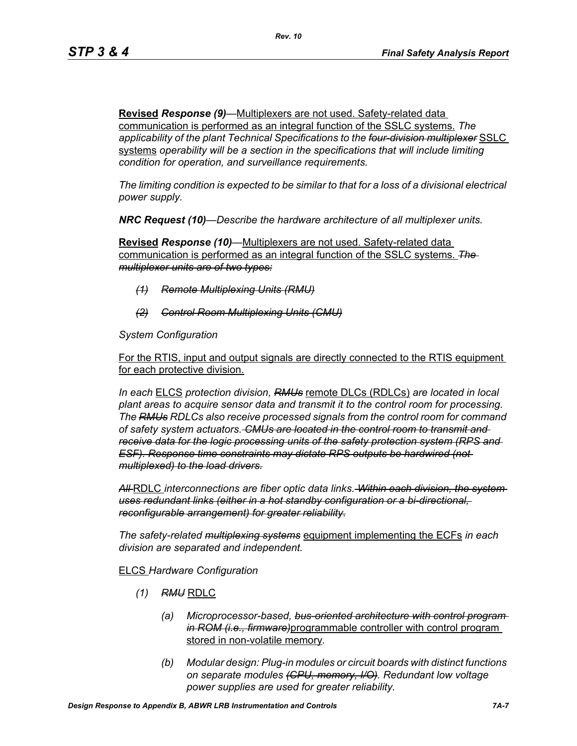**Revised** *Response (9)—*Multiplexers are not used. Safety-related data communication is performed as an integral function of the SSLC systems. *The applicability of the plant Technical Specifications to the four-division multiplexer* SSLC systems *operability will be a section in the specifications that will include limiting condition for operation, and surveillance requirements.*

*The limiting condition is expected to be similar to that for a loss of a divisional electrical power supply.*

*NRC Request (10)—Describe the hardware architecture of all multiplexer units.* 

**Revised** *Response (10)—*Multiplexers are not used. Safety-related data communication is performed as an integral function of the SSLC systems. *The multiplexer units are of two types:*

- *(1) Remote Multiplexing Units (RMU)*
- *(2) Control Room Multiplexing Units (CMU)*

*System Configuration*

For the RTIS, input and output signals are directly connected to the RTIS equipment for each protective division.

*In each* ELCS *protection division, RMUs* remote DLCs (RDLCs) *are located in local plant areas to acquire sensor data and transmit it to the control room for processing. The RMUs RDLCs also receive processed signals from the control room for command of safety system actuators. CMUs are located in the control room to transmit and receive data for the logic processing units of the safety protection system (RPS and ESF). Response time constraints may dictate RPS outputs be hardwired (not multiplexed) to the load drivers.*

*All* RDLC *interconnections are fiber optic data links. Within each division, the system uses redundant links (either in a hot standby configuration or a bi-directional, reconfigurable arrangement) for greater reliability.*

*The safety-related multiplexing systems* equipment implementing the ECFs *in each division are separated and independent.*

#### ELCS *Hardware Configuration*

- *(1) RMU* RDLC
	- *(a) Microprocessor-based, bus-oriented architecture with control program in ROM (i.e., firmware)*programmable controller with control program stored in non-volatile memory*.*
	- *(b) Modular design: Plug-in modules or circuit boards with distinct functions on separate modules (CPU, memory, I/O). Redundant low voltage power supplies are used for greater reliability.*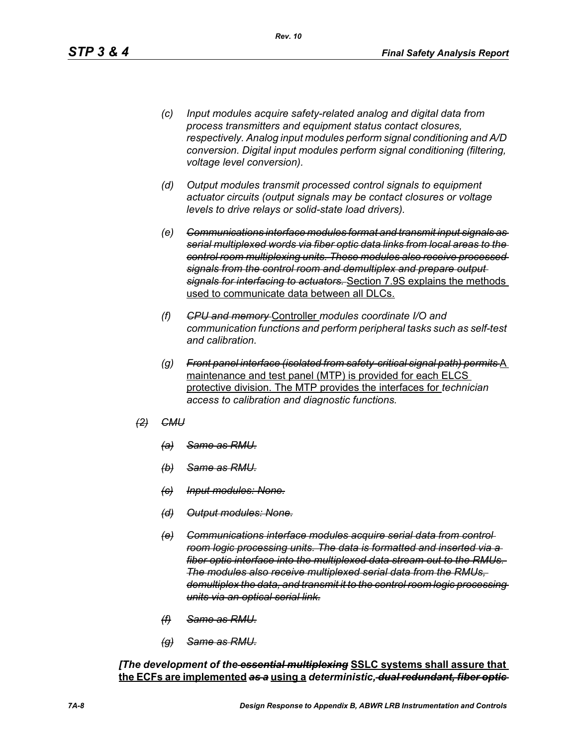- *(c) Input modules acquire safety-related analog and digital data from process transmitters and equipment status contact closures, respectively. Analog input modules perform signal conditioning and A/D conversion. Digital input modules perform signal conditioning (filtering, voltage level conversion).*
- *(d) Output modules transmit processed control signals to equipment actuator circuits (output signals may be contact closures or voltage levels to drive relays or solid-state load drivers).*
- *(e) Communications interface modules format and transmit input signals as serial multiplexed words via fiber optic data links from local areas to the control room multiplexing units. These modules also receive processed signals from the control room and demultiplex and prepare output signals for interfacing to actuators.* Section 7.9S explains the methods used to communicate data between all DLCs.
- *(f) CPU and memory* Controller *modules coordinate I/O and communication functions and perform peripheral tasks such as self-test and calibration.*
- *(g) Front panel interface (isolated from safety-critical signal path) permits* A maintenance and test panel (MTP) is provided for each ELCS protective division. The MTP provides the interfaces for *technician access to calibration and diagnostic functions.*
- *(2) CMU*
	- *(a) Same as RMU.*
	- *(b) Same as RMU.*
	- *(c) Input modules: None.*
	- *(d) Output modules: None.*
	- *(e) Communications interface modules acquire serial data from control room logic processing units. The data is formatted and inserted via a fiber optic interface into the multiplexed data stream out to the RMUs. The modules also receive multiplexed serial data from the RMUs, demultiplex the data, and transmit it to the control room logic processing units via an optical serial link.*
	- *(f) Same as RMU.*
	- *(g) Same as RMU.*

*[The development of the essential multiplexing* **SSLC systems shall assure that the ECFs are implemented** *as a* **using a** *deterministic, dual redundant, fiber optic*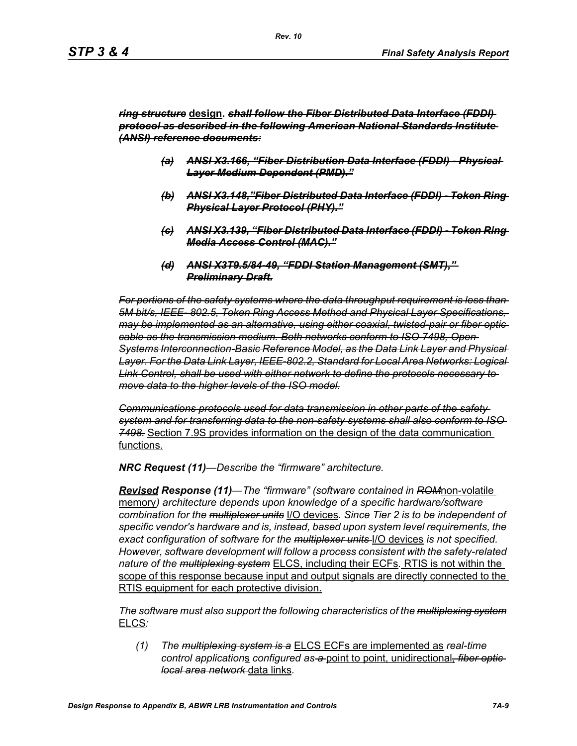#### *ring structure* **design.** *shall follow the Fiber Distributed Data Interface (FDDI) protocol as described in the following American National Standards Institute (ANSI) reference documents:*

- *(a) ANSI X3.166, "Fiber Distribution Data Interface (FDDI) Physical Layer Medium Dependent (PMD)."*
- *(b) ANSI X3.148,"Fiber Distributed Data Interface (FDDI) Token Ring Physical Layer Protocol (PHY)."*
- *(c) ANSI X3.139, "Fiber Distributed Data Interface (FDDI) Token Ring Media Access Control (MAC)."*
- *(d) ANSI X3T9.5/84-49, "FDDI Station Management (SMT)," Preliminary Draft.*

*For portions of the safety systems where the data throughput requirement is less than 5M bit/s, IEEE- 802.5, Token Ring Access Method and Physical Layer Specifications, may be implemented as an alternative, using either coaxial, twisted-pair or fiber optic cable as the transmission medium. Both networks conform to ISO 7498, Open Systems Interconnection-Basic Reference Model, as the Data Link Layer and Physical Layer. For the Data Link Layer, IEEE-802.2, Standard for Local Area Networks: Logical Link Control, shall be used with either network to define the protocols necessary to move data to the higher levels of the ISO model.*

*Communications protocols used for data transmission in other parts of the safety system and for transferring data to the non-safety systems shall also conform to ISO 7498.* Section 7.9S provides information on the design of the data communication functions.

*NRC Request (11)—Describe the "firmware" architecture.*

*Revised Response (11)—The "firmware" (software contained in ROM*non-volatile memory*) architecture depends upon knowledge of a specific hardware/software combination for the multiplexer units* I/O devices*. Since Tier 2 is to be independent of specific vendor's hardware and is, instead, based upon system level requirements, the exact configuration of software for the multiplexer units* I/O devices *is not specified. However, software development will follow a process consistent with the safety-related nature of the multiplexing system* ELCS, including their ECFs*.* RTIS is not within the scope of this response because input and output signals are directly connected to the RTIS equipment for each protective division.

*The software must also support the following characteristics of the multiplexing system* ELCS*:*

*(1) The multiplexing system is a* ELCS ECFs are implemented as *real-time control application*s *configured as a* point to point, unidirectional*, fiber optic local area network* data links*.*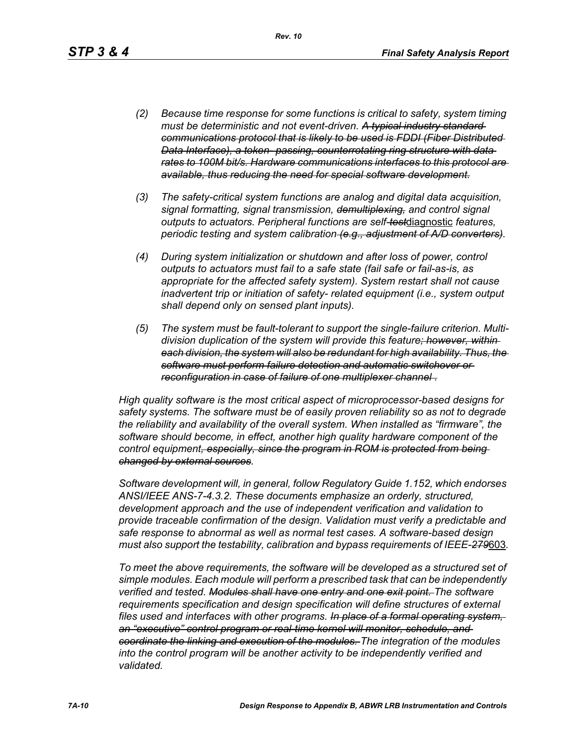- *(2) Because time response for some functions is critical to safety, system timing must be deterministic and not event-driven. A typical industry standard communications protocol that is likely to be used is FDDI (Fiber Distributed Data Interface), a token- passing, counterrotating ring structure with data rates to 100M bit/s. Hardware communications interfaces to this protocol are available, thus reducing the need for special software development.*
- *(3) The safety-critical system functions are analog and digital data acquisition, signal formatting, signal transmission, demultiplexing, and control signal outputs to actuators. Peripheral functions are self-test*diagnostic *features, periodic testing and system calibration (e.g., adjustment of A/D converters).*
- *(4) During system initialization or shutdown and after loss of power, control outputs to actuators must fail to a safe state (fail safe or fail-as-is, as appropriate for the affected safety system). System restart shall not cause inadvertent trip or initiation of safety- related equipment (i.e., system output shall depend only on sensed plant inputs).*
- *(5) The system must be fault-tolerant to support the single-failure criterion. Multidivision duplication of the system will provide this feature; however, within each division, the system will also be redundant for high availability. Thus, the software must perform failure detection and automatic switchover or reconfiguration in case of failure of one multiplexer channel .*

*High quality software is the most critical aspect of microprocessor-based designs for safety systems. The software must be of easily proven reliability so as not to degrade the reliability and availability of the overall system. When installed as "firmware", the software should become, in effect, another high quality hardware component of the control equipment, especially, since the program in ROM is protected from being changed by external sources.*

*Software development will, in general, follow Regulatory Guide 1.152, which endorses ANSI/IEEE ANS-7-4.3.2. These documents emphasize an orderly, structured, development approach and the use of independent verification and validation to provide traceable confirmation of the design. Validation must verify a predictable and safe response to abnormal as well as normal test cases. A software-based design must also support the testability, calibration and bypass requirements of IEEE-279*603*.*

*To meet the above requirements, the software will be developed as a structured set of simple modules. Each module will perform a prescribed task that can be independently verified and tested. Modules shall have one entry and one exit point. The software requirements specification and design specification will define structures of external files used and interfaces with other programs. In place of a formal operating system, an "executive" control program or real-time kernel will monitor, schedule, and coordinate the linking and execution of the modules. The integration of the modules*  into the control program will be another activity to be independently verified and *validated.*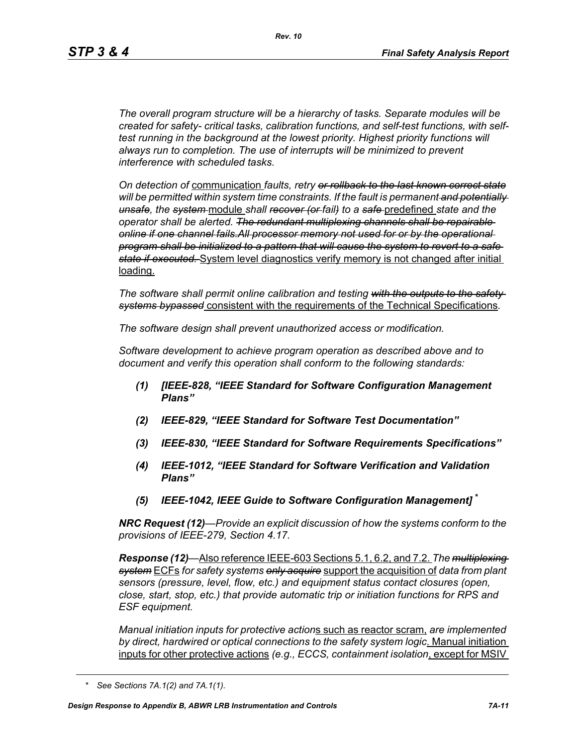*The overall program structure will be a hierarchy of tasks. Separate modules will be created for safety- critical tasks, calibration functions, and self-test functions, with selftest running in the background at the lowest priority. Highest priority functions will always run to completion. The use of interrupts will be minimized to prevent interference with scheduled tasks.* 

*On detection of* communication *faults, retry or rollback to the last known correct state will be permitted within system time constraints. If the fault is permanent and potentially unsafe, the system* module *shall recover (or fail) to a safe* predefined *state and the operator shall be alerted. The redundant multiplexing channels shall be repairable online if one channel fails.All processor memory not used for or by the operational program shall be initialized to a pattern that will cause the system to revert to a safe state if executed.* System level diagnostics verify memory is not changed after initial loading.

*The software shall permit online calibration and testing with the outputs to the safety systems bypassed* consistent with the requirements of the Technical Specifications*.* 

*The software design shall prevent unauthorized access or modification.* 

*Software development to achieve program operation as described above and to document and verify this operation shall conform to the following standards:*

- *(1) [IEEE-828, "IEEE Standard for Software Configuration Management Plans"*
- *(2) IEEE-829, "IEEE Standard for Software Test Documentation"*
- *(3) IEEE-830, "IEEE Standard for Software Requirements Specifications"*
- *(4) IEEE-1012, "IEEE Standard for Software Verification and Validation Plans"*
- *(5) IEEE-1042, IEEE Guide to Software Configuration Management]* **\***

*NRC Request (12)—Provide an explicit discussion of how the systems conform to the provisions of IEEE-279, Section 4.17.* 

*Response (12)—*Also reference IEEE-603 Sections 5.1, 6.2, and 7.2. *The multiplexing system* ECFs *for safety systems only acquire* support the acquisition of *data from plant sensors (pressure, level, flow, etc.) and equipment status contact closures (open, close, start, stop, etc.) that provide automatic trip or initiation functions for RPS and ESF equipment.* 

*Manual initiation inputs for protective action*s such as reactor scram, *are implemented by direct, hardwired or optical connections to the safety system logic*. Manual initiation inputs for other protective actions *(e.g., ECCS, containment isolation*, except for MSIV

*<sup>\*</sup> See Sections 7A.1(2) and 7A.1(1).*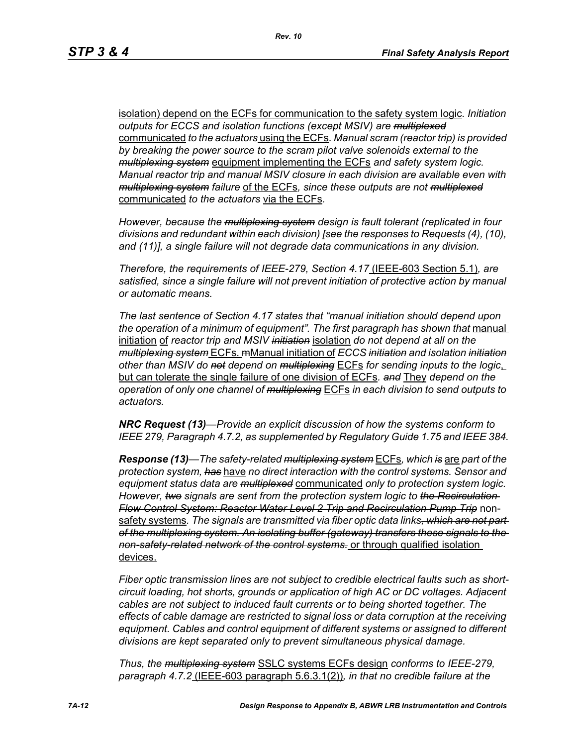isolation) depend on the ECFs for communication to the safety system logic*. Initiation outputs for ECCS and isolation functions (except MSIV) are multiplexed* communicated *to the actuators* using the ECFs*. Manual scram (reactor trip) is provided by breaking the power source to the scram pilot valve solenoids external to the multiplexing system* equipment implementing the ECFs *and safety system logic. Manual reactor trip and manual MSIV closure in each division are available even with multiplexing system failure* of the ECFs*, since these outputs are not multiplexed* communicated *to the actuators* via the ECFs*.* 

*However, because the multiplexing system design is fault tolerant (replicated in four divisions and redundant within each division) [see the responses to Requests (4), (10), and (11)], a single failure will not degrade data communications in any division.* 

*Therefore, the requirements of IEEE-279, Section 4.17* (IEEE-603 Section 5.1)*, are satisfied, since a single failure will not prevent initiation of protective action by manual or automatic means.* 

*The last sentence of Section 4.17 states that "manual initiation should depend upon*  the operation of a minimum of equipment". The first paragraph has shown that manual initiation of *reactor trip and MSIV initiation* isolation *do not depend at all on the multiplexing system* ECFs. mManual initiation of *ECCS initiation and isolation initiation other than MSIV do not depend on multiplexing* ECFs *for sending inputs to the logic*, but can tolerate the single failure of one division of ECFs*. and* They *depend on the operation of only one channel of multiplexing* ECFs *in each division to send outputs to actuators.* 

*NRC Request (13)—Provide an explicit discussion of how the systems conform to IEEE 279, Paragraph 4.7.2, as supplemented by Regulatory Guide 1.75 and IEEE 384.*

*Response (13)—The safety-related multiplexing system* ECFs*, which is* are *part of the protection system, has* have *no direct interaction with the control systems. Sensor and equipment status data are multiplexed* communicated *only to protection system logic. However, two signals are sent from the protection system logic to the Recirculation Flow Control System: Reactor Water Level 2 Trip and Recirculation Pump Trip* nonsafety systems*. The signals are transmitted via fiber optic data links, which are not part of the multiplexing system. An isolating buffer (gateway) transfers these signals to the non-safety-related network of the control systems.* or through qualified isolation devices.

*Fiber optic transmission lines are not subject to credible electrical faults such as shortcircuit loading, hot shorts, grounds or application of high AC or DC voltages. Adjacent cables are not subject to induced fault currents or to being shorted together. The effects of cable damage are restricted to signal loss or data corruption at the receiving equipment. Cables and control equipment of different systems or assigned to different divisions are kept separated only to prevent simultaneous physical damage.* 

*Thus, the multiplexing system* SSLC systems ECFs design *conforms to IEEE-279, paragraph 4.7.2* (IEEE-603 paragraph 5.6.3.1(2))*, in that no credible failure at the*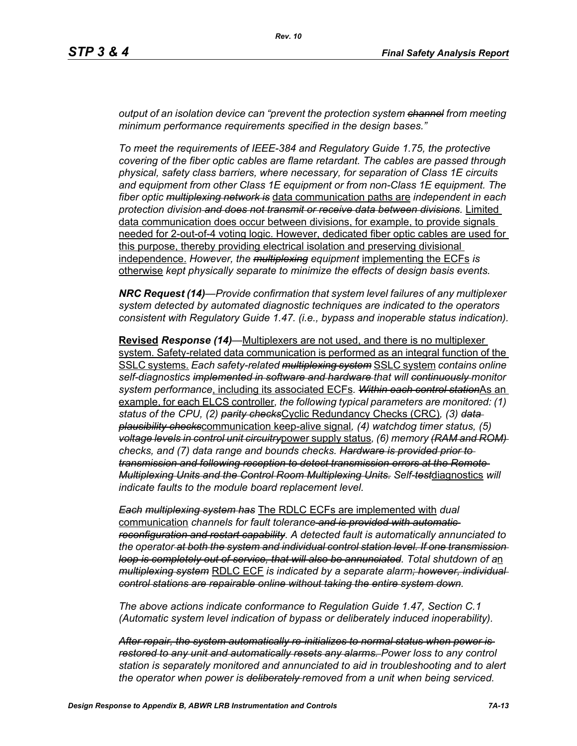*output of an isolation device can "prevent the protection system channel from meeting minimum performance requirements specified in the design bases."*

*To meet the requirements of IEEE-384 and Regulatory Guide 1.75, the protective covering of the fiber optic cables are flame retardant. The cables are passed through physical, safety class barriers, where necessary, for separation of Class 1E circuits and equipment from other Class 1E equipment or from non-Class 1E equipment. The fiber optic multiplexing network is* data communication paths are *independent in each protection division and does not transmit or receive data between divisions.* Limited data communication does occur between divisions, for example, to provide signals needed for 2-out-of-4 voting logic. However, dedicated fiber optic cables are used for this purpose, thereby providing electrical isolation and preserving divisional independence. *However, the multiplexing equipment* implementing the ECFs *is*  otherwise *kept physically separate to minimize the effects of design basis events.* 

*NRC Request (14)—Provide confirmation that system level failures of any multiplexer system detected by automated diagnostic techniques are indicated to the operators consistent with Regulatory Guide 1.47. (i.e., bypass and inoperable status indication).*

**Revised** *Response (14)—*Multiplexers are not used, and there is no multiplexer system. Safety-related data communication is performed as an integral function of the SSLC systems. *Each safety-related multiplexing system* SSLC system *contains online self-diagnostics implemented in software and hardware that will continuously monitor system performance*, including its associated ECFs*. Within each control station*As an example, for each ELCS controller*, the following typical parameters are monitored: (1) status of the CPU, (2) parity checks*Cyclic Redundancy Checks (CRC)*, (3) data plausibility checks*communication keep-alive signal*, (4) watchdog timer status, (5) voltage levels in control unit circuitry*power supply status*, (6) memory (RAM and ROM) checks, and (7) data range and bounds checks. Hardware is provided prior to transmission and following reception to detect transmission errors at the Remote Multiplexing Units and the Control Room Multiplexing Units. Self-test*diagnostics *will indicate faults to the module board replacement level.* 

*Each multiplexing system has* The RDLC ECFs are implemented with *dual*  communication *channels for fault tolerance and is provided with automatic reconfiguration and restart capability. A detected fault is automatically annunciated to the operator at both the system and individual control station level. If one transmission loop is completely out of service, that will also be annunciated. Total shutdown of a*n *multiplexing system* RDLC ECF *is indicated by a separate alarm; however, individual control stations are repairable online without taking the entire system down.* 

*The above actions indicate conformance to Regulation Guide 1.47, Section C.1 (Automatic system level indication of bypass or deliberately induced inoperability).* 

*After repair, the system automatically re-initializes to normal status when power is restored to any unit and automatically resets any alarms. Power loss to any control station is separately monitored and annunciated to aid in troubleshooting and to alert the operator when power is deliberately removed from a unit when being serviced.*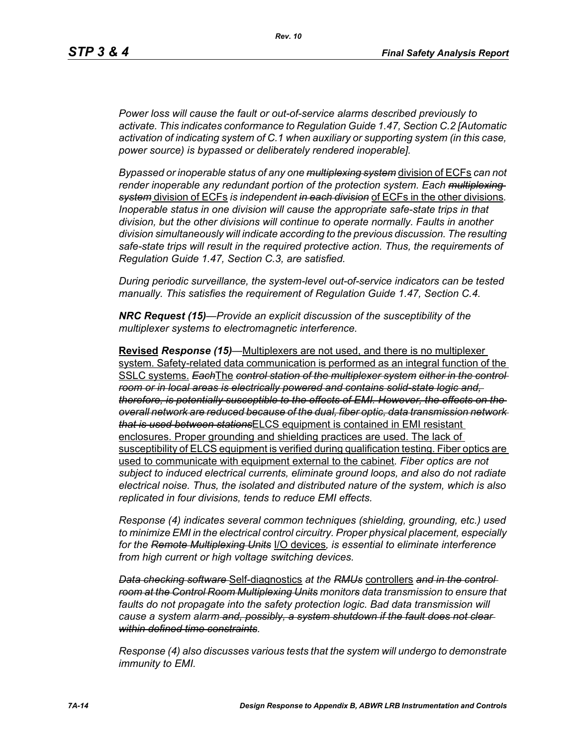*Power loss will cause the fault or out-of-service alarms described previously to activate. This indicates conformance to Regulation Guide 1.47, Section C.2 [Automatic activation of indicating system of C.1 when auxiliary or supporting system (in this case, power source) is bypassed or deliberately rendered inoperable].* 

*Bypassed or inoperable status of any one multiplexing system* division of ECFs *can not render inoperable any redundant portion of the protection system. Each multiplexing system* division of ECFs *is independent in each division* of ECFs in the other divisions*. Inoperable status in one division will cause the appropriate safe-state trips in that division, but the other divisions will continue to operate normally. Faults in another division simultaneously will indicate according to the previous discussion. The resulting safe-state trips will result in the required protective action. Thus, the requirements of Regulation Guide 1.47, Section C.3, are satisfied.* 

*During periodic surveillance, the system-level out-of-service indicators can be tested manually. This satisfies the requirement of Regulation Guide 1.47, Section C.4.* 

*NRC Request (15)—Provide an explicit discussion of the susceptibility of the multiplexer systems to electromagnetic interference.*

**Revised** *Response (15)—*Multiplexers are not used, and there is no multiplexer system. Safety-related data communication is performed as an integral function of the SSLC systems. *Each*The *control station of the multiplexer system either in the control room or in local areas is electrically powered and contains solid-state logic and, therefore, is potentially susceptible to the effects of EMI. However, the effects on the overall network are reduced because of the dual, fiber optic, data transmission network that is used between stations*ELCS equipment is contained in EMI resistant enclosures. Proper grounding and shielding practices are used. The lack of susceptibility of ELCS equipment is verified during qualification testing. Fiber optics are used to communicate with equipment external to the cabinet*. Fiber optics are not subject to induced electrical currents, eliminate ground loops, and also do not radiate electrical noise. Thus, the isolated and distributed nature of the system, which is also replicated in four divisions, tends to reduce EMI effects.* 

*Response (4) indicates several common techniques (shielding, grounding, etc.) used to minimize EMI in the electrical control circuitry. Proper physical placement, especially for the Remote Multiplexing Units* I/O devices*, is essential to eliminate interference from high current or high voltage switching devices.* 

*Data checking software* Self-diagnostics *at the RMUs* controllers *and in the control room at the Control Room Multiplexing Units monitors data transmission to ensure that*  faults do not propagate into the safety protection logic. Bad data transmission will *cause a system alarm and, possibly, a system shutdown if the fault does not clear within defined time constraints.*

*Response (4) also discusses various tests that the system will undergo to demonstrate immunity to EMI.*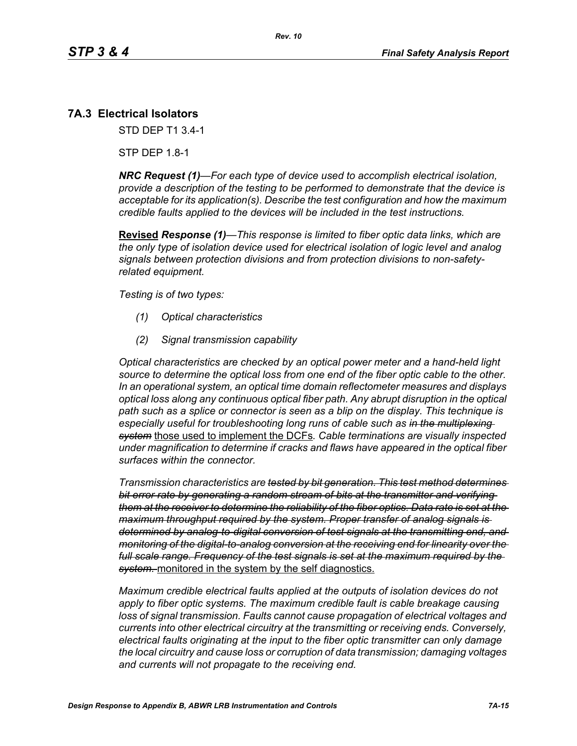# **7A.3 Electrical Isolators**

STD DEP T1 3.4-1

STP DEP 1.8-1

*NRC Request (1)—For each type of device used to accomplish electrical isolation, provide a description of the testing to be performed to demonstrate that the device is acceptable for its application(s). Describe the test configuration and how the maximum credible faults applied to the devices will be included in the test instructions.*

**Revised** *Response (1)—This response is limited to fiber optic data links, which are the only type of isolation device used for electrical isolation of logic level and analog signals between protection divisions and from protection divisions to non-safetyrelated equipment.* 

*Testing is of two types:*

- *(1) Optical characteristics*
- *(2) Signal transmission capability*

*Optical characteristics are checked by an optical power meter and a hand-held light source to determine the optical loss from one end of the fiber optic cable to the other. In an operational system, an optical time domain reflectometer measures and displays optical loss along any continuous optical fiber path. Any abrupt disruption in the optical path such as a splice or connector is seen as a blip on the display. This technique is especially useful for troubleshooting long runs of cable such as in the multiplexing system* those used to implement the DCFs*. Cable terminations are visually inspected under magnification to determine if cracks and flaws have appeared in the optical fiber surfaces within the connector.* 

*Transmission characteristics are tested by bit generation. This test method determines bit error rate by generating a random stream of bits at the transmitter and verifying them at the receiver to determine the reliability of the fiber optics. Data rate is set at the maximum throughput required by the system. Proper transfer of analog signals is determined by analog-to-digital conversion of test signals at the transmitting end, and monitoring of the digital-to-analog conversion at the receiving end for linearity over the full scale range. Frequency of the test signals is set at the maximum required by the system.* monitored in the system by the self diagnostics.

*Maximum credible electrical faults applied at the outputs of isolation devices do not apply to fiber optic systems. The maximum credible fault is cable breakage causing loss of signal transmission. Faults cannot cause propagation of electrical voltages and currents into other electrical circuitry at the transmitting or receiving ends. Conversely, electrical faults originating at the input to the fiber optic transmitter can only damage the local circuitry and cause loss or corruption of data transmission; damaging voltages and currents will not propagate to the receiving end.*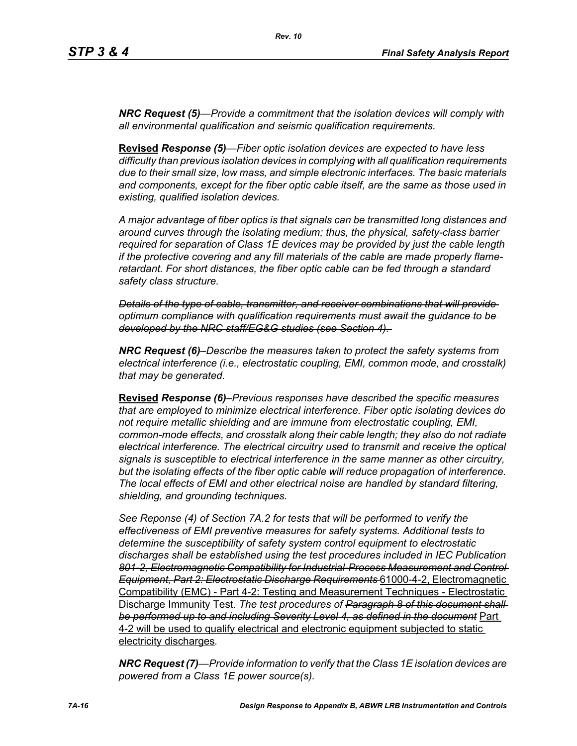*NRC Request (5)—Provide a commitment that the isolation devices will comply with all environmental qualification and seismic qualification requirements.*

**Revised** *Response (5)—Fiber optic isolation devices are expected to have less difficulty than previous isolation devices in complying with all qualification requirements due to their small size, low mass, and simple electronic interfaces. The basic materials and components, except for the fiber optic cable itself, are the same as those used in existing, qualified isolation devices.* 

*A major advantage of fiber optics is that signals can be transmitted long distances and around curves through the isolating medium; thus, the physical, safety-class barrier required for separation of Class 1E devices may be provided by just the cable length if the protective covering and any fill materials of the cable are made properly flameretardant. For short distances, the fiber optic cable can be fed through a standard safety class structure.* 

*Details of the type of cable, transmitter, and receiver combinations that will provide optimum compliance with qualification requirements must await the guidance to be developed by the NRC staff/EG&G studies (see Section 4).* 

*NRC Request (6)–Describe the measures taken to protect the safety systems from electrical interference (i.e., electrostatic coupling, EMI, common mode, and crosstalk) that may be generated.*

**Revised** *Response (6)–Previous responses have described the specific measures that are employed to minimize electrical interference. Fiber optic isolating devices do not require metallic shielding and are immune from electrostatic coupling, EMI, common-mode effects, and crosstalk along their cable length; they also do not radiate electrical interference. The electrical circuitry used to transmit and receive the optical signals is susceptible to electrical interference in the same manner as other circuitry, but the isolating effects of the fiber optic cable will reduce propagation of interference. The local effects of EMI and other electrical noise are handled by standard filtering, shielding, and grounding techniques.*

*See Reponse (4) of Section 7A.2 for tests that will be performed to verify the effectiveness of EMI preventive measures for safety systems. Additional tests to determine the susceptibility of safety system control equipment to electrostatic discharges shall be established using the test procedures included in IEC Publication 801-2, Electromagnetic Compatibility for Industrial-Process Measurement and Control Equipment, Part 2: Electrostatic Discharge Requirements* 61000-4-2, Electromagnetic Compatibility (EMC) - Part 4-2: Testing and Measurement Techniques - Electrostatic Discharge Immunity Test*. The test procedures of Paragraph 8 of this document shall be performed up to and including Severity Level 4, as defined in the document* Part 4-2 will be used to qualify electrical and electronic equipment subjected to static electricity discharges*.*

*NRC Request (7)—Provide information to verify that the Class 1E isolation devices are powered from a Class 1E power source(s).*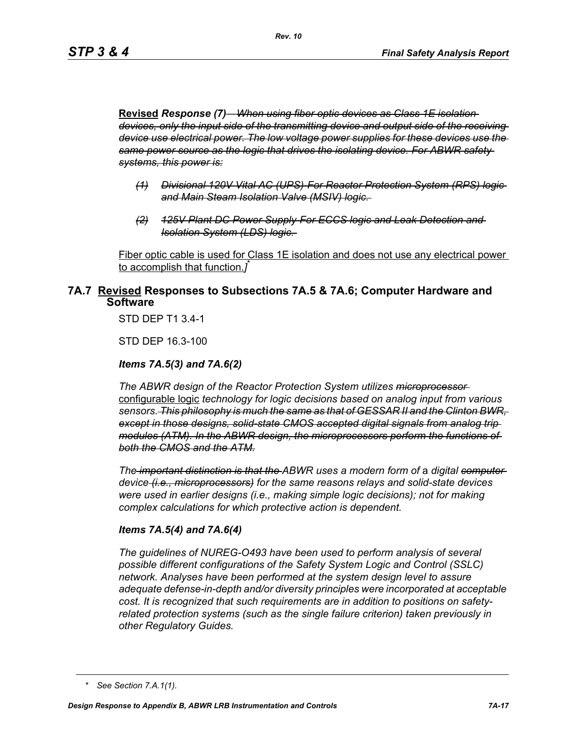**Revised** *Response (7)—When using fiber optic devices as Class 1E isolation devices, only the input side of the transmitting device and output side of the receiving device use electrical power. The low voltage power supplies for these devices use the same power source as the logic that drives the isolating device. For ABWR safety systems, this power is:*

- *(1) Divisional 120V Vital AC (UPS)-For Reactor Protection System (RPS) logic and Main Steam Isolation Valve (MSIV) logic.*
- *(2) 125V Plant DC Power Supply-For ECCS logic and Leak Detection and Isolation System (LDS) logic.*

Fiber optic cable is used for Class 1E isolation and does not use any electrical power to accomplish that function.*]* \*

### **7A.7 Revised Responses to Subsections 7A.5 & 7A.6; Computer Hardware and Software**

STD DEP T1 3.4-1

STD DEP 16.3-100

#### *Items 7A.5(3) and 7A.6(2)*

*The ABWR design of the Reactor Protection System utilizes microprocessor*  configurable logic *technology for logic decisions based on analog input from various sensors. This philosophy is much the same as that of GESSAR II and the Clinton BWR, except in those designs, solid-state CMOS accepted digital signals from analog trip modules (ATM). In the ABWR design, the microprocessors perform the functions of both the CMOS and the ATM.*

*The important distinction is that the ABWR uses a modern form of a digital computer device (i.e., microprocessors) for the same reasons relays and solid-state devices were used in earlier designs (i.e., making simple logic decisions); not for making complex calculations for which protective action is dependent.*

#### *Items 7A.5(4) and 7A.6(4)*

*The guidelines of NUREG-O493 have been used to perform analysis of several possible different configurations of the Safety System Logic and Control (SSLC) network. Analyses have been performed at the system design level to assure adequate defense-in-depth and/or diversity principles were incorporated at acceptable cost. It is recognized that such requirements are in addition to positions on safetyrelated protection systems (such as the single failure criterion) taken previously in other Regulatory Guides.*

*<sup>\*</sup> See Section 7.A.1(1).*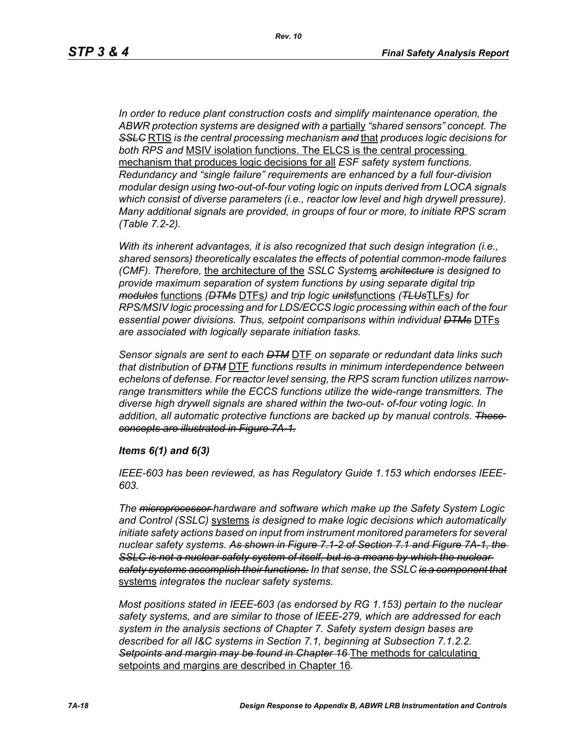*In order to reduce plant construction costs and simplify maintenance operation, the ABWR protection systems are designed with a* partially *"shared sensors" concept. The SSLC* RTIS *is the central processing mechanism and* that *produces logic decisions for both RPS and* MSIV isolation functions. The ELCS is the central processing mechanism that produces logic decisions for all *ESF safety system functions. Redundancy and "single failure" requirements are enhanced by a full four-division modular design using two-out-of-four voting logic on inputs derived from LOCA signals which consist of diverse parameters (i.e., reactor low level and high drywell pressure). Many additional signals are provided, in groups of four or more, to initiate RPS scram (Table 7.2-2).*

*With its inherent advantages, it is also recognized that such design integration (i.e., shared sensors) theoretically escalates the effects of potential common-mode failures (CMF). Therefore,* the architecture of the *SSLC System*s *architecture is designed to provide maximum separation of system functions by using separate digital trip modules* functions *(DTMs* DTFs*) and trip logic units*functions *(TLUs*TLFs*) for RPS/MSIV logic processing and for LDS/ECCS logic processing within each of the four essential power divisions. Thus, setpoint comparisons within individual DTMs* DTFs *are associated with logically separate initiation tasks.* 

*Sensor signals are sent to each DTM* DTF *on separate or redundant data links such that distribution of DTM* DTF *functions results in minimum interdependence between echelons of defense. For reactor level sensing, the RPS scram function utilizes narrowrange transmitters while the ECCS functions utilize the wide-range transmitters. The diverse high drywell signals are shared within the two-out- of-four voting logic. In addition, all automatic protective functions are backed up by manual controls. These concepts are illustrated in Figure 7A-1.*

#### *Items 6(1) and 6(3)*

*IEEE-603 has been reviewed, as has Regulatory Guide 1.153 which endorses IEEE-603.*

*The microprocessor hardware and software which make up the Safety System Logic and Control (SSLC)* systems *is designed to make logic decisions which automatically initiate safety actions based on input from instrument monitored parameters for several nuclear safety systems. As shown in Figure 7.1-2 of Section 7.1 and Figure 7A-1, the*  **SSLC is not a nuclear safety system of itself, but is a means by which the nuclear** *safety systems accomplish their functions. In that sense, the SSLC is a component that* systems *integrates the nuclear safety systems.*

*Most positions stated in IEEE-603 (as endorsed by RG 1.153) pertain to the nuclear safety systems, and are similar to those of IEEE-279, which are addressed for each system in the analysis sections of Chapter 7. Safety system design bases are described for all I&C systems in Section 7.1, beginning at Subsection 7.1.2.2. Setpoints and margin may be found in Chapter 16* The methods for calculating setpoints and margins are described in Chapter 16*.*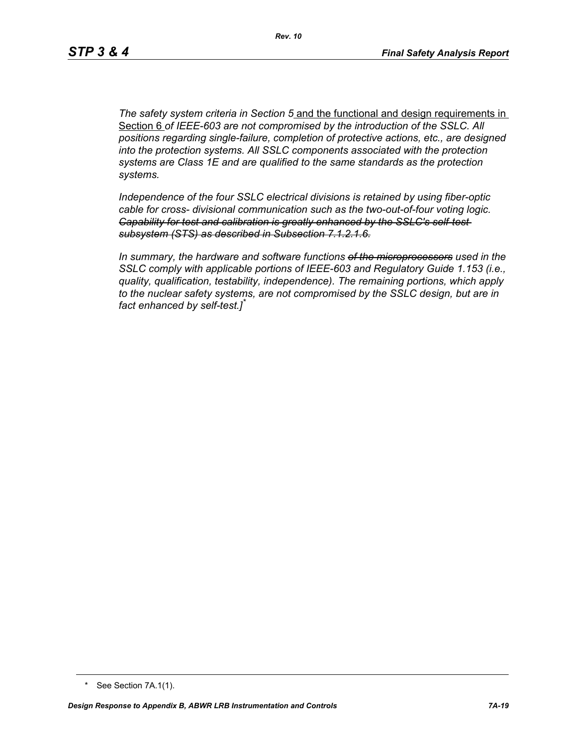*The safety system criteria in Section 5* and the functional and design requirements in Section 6 *of IEEE-603 are not compromised by the introduction of the SSLC. All positions regarding single-failure, completion of protective actions, etc., are designed into the protection systems. All SSLC components associated with the protection systems are Class 1E and are qualified to the same standards as the protection systems.*

*Independence of the four SSLC electrical divisions is retained by using fiber-optic cable for cross- divisional communication such as the two-out-of-four voting logic. Capability for test and calibration is greatly enhanced by the SSLC's self-test subsystem (STS) as described in Subsection 7.1.2.1.6.*

*In summary, the hardware and software functions of the microprocessors used in the SSLC comply with applicable portions of IEEE-603 and Regulatory Guide 1.153 (i.e., quality, qualification, testability, independence). The remaining portions, which apply to the nuclear safety systems, are not compromised by the SSLC design, but are in fact enhanced by self-test.]\**

<sup>\*</sup> See Section 7A.1(1).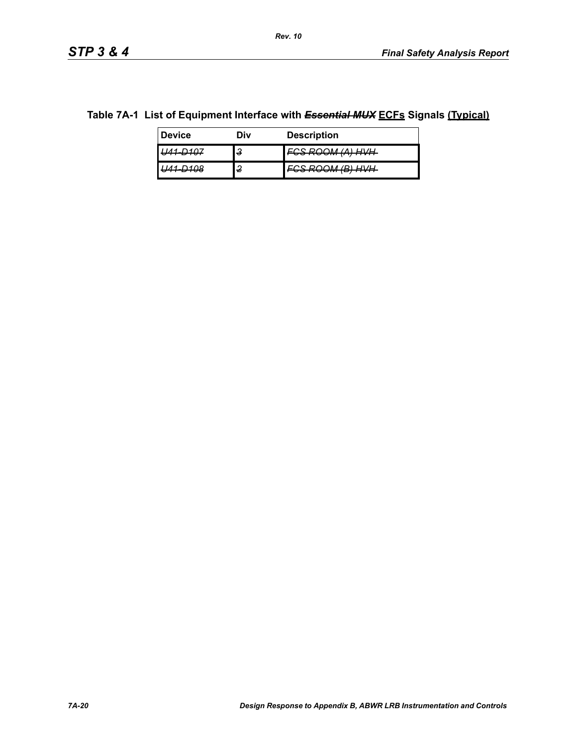### **Table 7A-1 List of Equipment Interface with** *Essential MUX* **ECFs Signals (Typical)**

| <b>Device</b>                     | Div    | <b>Description</b>                            |
|-----------------------------------|--------|-----------------------------------------------|
| $-$                               | ິ<br>υ | $(1)$ $H/L$<br><del>וועווקהן ואוטטה טסי</del> |
| 21/10<br>$\overline{\phantom{a}}$ | ◠<br>£ | (0, 0)<br><del>oonoommunnn</del>              |